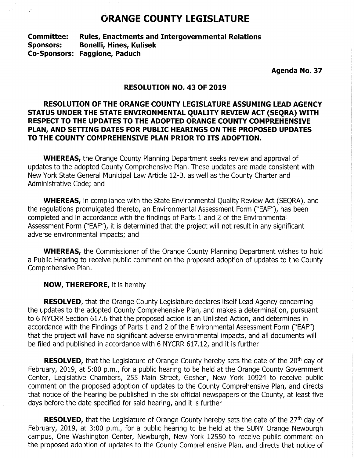# **ORANGE COUNTY LEGISLATURE**

**Committee: Rules, Enactments and Intergovernmental Relations Sponsors: Bonelli, Hines, Kulisek Co-Sponsors: Faggione, Paduch** 

**Agenda No. 37** 

# **RESOLUTION NO. 43 OF 2019**

# **RESOLUTION OF THE ORANGE COUNTY LEGISLATURE ASSUMING LEAD AGENCY STATUS UNDER THE STATE ENVIRONMENTAL QUALITY REVIEW ACT (SEQRA) WITH RESPECT TO THE UPDATES TO THE ADOPTED ORANGE COUNTY COMPREHENSIVE PLAN, AND SETTING DATES FOR PUBLIC HEARINGS ON THE PROPOSED UPDATES TO THE COUNTY COMPREHENSIVE PLAN PRIOR TO ITS ADOPTION.**

**WHEREAS,** the Orange County Planning Department seeks review and approval of updates to the adopted County Comprehensive Plan. These updates are made consistent with New York State General Municipal Law Article 12-B, as well as the County Charter and Administrative Code; and

**WHEREAS,** in compliance with the State Environmental Quality Review Act (SEQRA), and the regulations promulgated thereto, an Environmental Assessment Form ("EAF"), has been completed and in accordance with the findings of Parts 1 and 2 of the Environmental Assessment Form ("EAF"), it is determined that the project will not result in any significant adverse environmental impacts; and

**WHEREAS,** the Commissioner of the Orange County Planning Department wishes to hold a Public Hearing to receive public comment on the proposed adoption of updates to the County Comprehensive Plan.

**NOW, THEREFORE,** it is hereby

**RESOLVED,** that the Orange County Legislature declares itself Lead Agency concerning the updates to the adopted County Comprehensive Plan, and makes a determination, pursuant to 6 NYCRR Section 617.6 that the proposed action is an Unlisted Action, and determines in accordance with the Findings of Parts 1 and 2 of the Environmental Assessment Form ("EAF") that the project will have no significant adverse environmental impacts, and all documents will be filed and published in accordance with 6 NYCRR 617.12, and it is further

**RESOLVED,** that the Legislature of Orange County hereby sets the date of the 20<sup>th</sup> day of February, 2019, at 5:00 p.m., for a public hearing to be held at the Orange County Government Center, Legislative Chambers, 255 Main Street, Goshen, New York 10924 to receive public comment on the proposed adoption of updates to the County Comprehensive Plan, and directs that notice of the hearing be published in the six official newspapers of the County, at least five days before the date specified for said hearing, and it is further

**RESOLVED,** that the Legislature of Orange County hereby sets the date of the 27<sup>th</sup> day of February, 2019, at 3:00 p.m., for a public hearing to be held at the SUNY Orange Newburgh campus, One Washington Center, Newburgh, New York 12550 to receive public comment on the proposed adoption of updates to the County Comprehensive Plan, and directs that notice of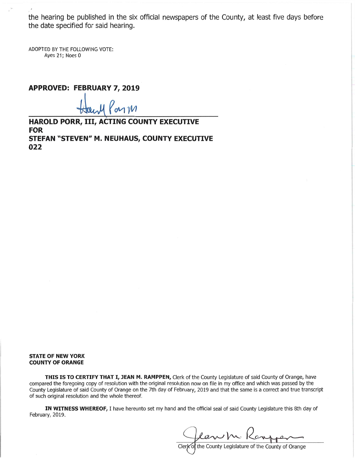the hearing be published in the six official newspapers of the County, at least five days befor<sup>e</sup> the date specified for said hearing.

ADOPTED BY THE FOLLOWING VOTE: Ayes 21; Noes O

**APPROVED: FEBRUARY 7, 2019** 

 $emW$ 

**HAROLD PORR,** III, **ACTING COUNTY EXECUTIVE FOR STEFAN "STEVEN" M. NEUHAUS, COUNTY EXECUTIVE 022** 

#### **STATE OF NEW YORK COUNTY OF ORANGE**

THIS IS TO CERTIFY THAT I, JEAN M. RAMPPEN, Clerk of the County Legislature of said County of Orange, have compared the foregoing copy of resolution with the original resolution now on file in my office and which was passed by th<sup>e</sup> County Legislature of said County of Orange on the 7th day of February, 2019 and that the same is a correct and true transcript <sup>o</sup>f such original resolution and the whole thereof.

**IN WITNESS WHEREOF,** I have hereunto set my hand and the official seal of said County Legislature this 8th day of February, 2019.

Clerk<sup>o</sup> the County Legislature of the County of Orange